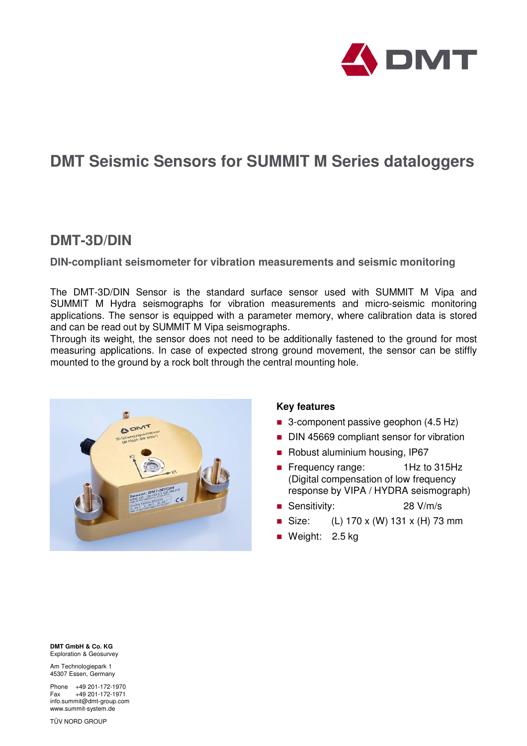

# **DMT Seismic Sensors for SUMMIT M Series dataloggers**

## **DMT-3D/DIN**

**DIN-compliant seismometer for vibration measurements and seismic monitoring**

The DMT-3D/DIN Sensor is the standard surface sensor used with SUMMIT M Vipa and SUMMIT M Hydra seismographs for vibration measurements and micro-seismic monitoring applications. The sensor is equipped with a parameter memory, where calibration data is stored and can be read out by SUMMIT M Vipa seismographs.

Through its weight, the sensor does not need to be additionally fastened to the ground for most measuring applications. In case of expected strong ground movement, the sensor can be stiffly mounted to the ground by a rock bolt through the central mounting hole.



### **Key features**

- 3-component passive geophon (4.5 Hz)
- DIN 45669 compliant sensor for vibration
- Robust aluminium housing, IP67
- Frequency range: 1Hz to 315Hz (Digital compensation of low frequency response by VIPA / HYDRA seismograph)
- Sensitivity: 28 V/m/s
- Size: (L)  $170 \times$  (W)  $131 \times$  (H) 73 mm
- Weight: 2.5 kg

**DMT GmbH & Co. KG**  Exploration & Geosurvey

Am Technologiepark 1 45307 Essen, Germany

Phone +49 201-172-1970 Fax +49 201-172-1971 info.summit@dmt-group.com www.summit-system.de

TÜV NORD GROUP